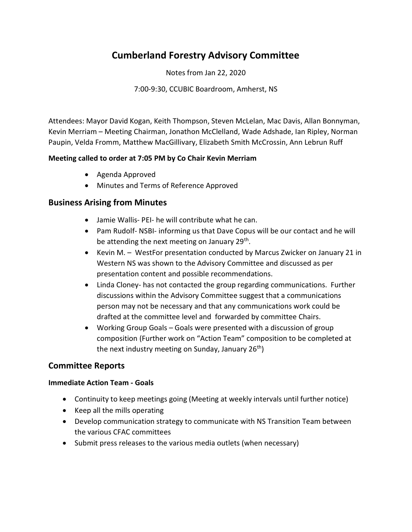# Cumberland Forestry Advisory Committee

Notes from Jan 22, 2020

7:00-9:30, CCUBIC Boardroom, Amherst, NS

Attendees: Mayor David Kogan, Keith Thompson, Steven McLelan, Mac Davis, Allan Bonnyman, Kevin Merriam – Meeting Chairman, Jonathon McClelland, Wade Adshade, Ian Ripley, Norman Paupin, Velda Fromm, Matthew MacGillivary, Elizabeth Smith McCrossin, Ann Lebrun Ruff

### Meeting called to order at 7:05 PM by Co Chair Kevin Merriam

- Agenda Approved
- Minutes and Terms of Reference Approved

## Business Arising from Minutes

- Jamie Wallis- PEI- he will contribute what he can.
- Pam Rudolf- NSBI- informing us that Dave Copus will be our contact and he will be attending the next meeting on January 29<sup>th</sup>.
- Kevin M. WestFor presentation conducted by Marcus Zwicker on January 21 in Western NS was shown to the Advisory Committee and discussed as per presentation content and possible recommendations.
- Linda Cloney- has not contacted the group regarding communications. Further discussions within the Advisory Committee suggest that a communications person may not be necessary and that any communications work could be drafted at the committee level and forwarded by committee Chairs.
- Working Group Goals Goals were presented with a discussion of group composition (Further work on "Action Team" composition to be completed at the next industry meeting on Sunday, January  $26<sup>th</sup>$ )

# Committee Reports

### Immediate Action Team - Goals

- Continuity to keep meetings going (Meeting at weekly intervals until further notice)
- Keep all the mills operating
- Develop communication strategy to communicate with NS Transition Team between the various CFAC committees
- Submit press releases to the various media outlets (when necessary)